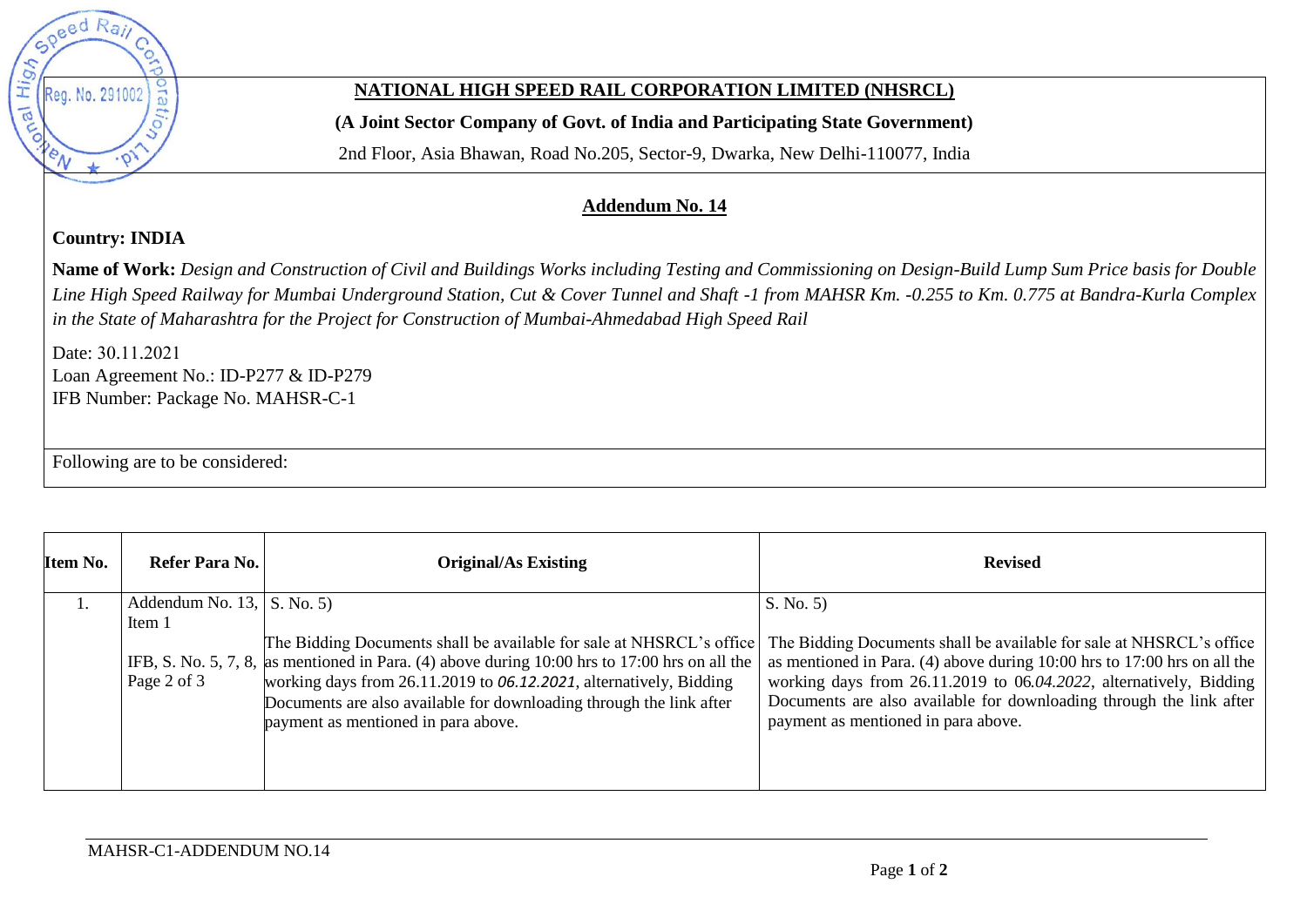

## **NATIONAL HIGH SPEED RAIL CORPORATION LIMITED (NHSRCL)**

**(A Joint Sector Company of Govt. of India and Participating State Government)** 

2nd Floor, Asia Bhawan, Road No.205, Sector-9, Dwarka, New Delhi-110077, India

## **Addendum No. 14**

**Country: INDIA** 

**Name of Work:** *Design and Construction of Civil and Buildings Works including Testing and Commissioning on Design-Build Lump Sum Price basis for Double Line High Speed Railway for Mumbai Underground Station, Cut & Cover Tunnel and Shaft -1 from MAHSR Km. -0.255 to Km. 0.775 at Bandra-Kurla Complex in the State of Maharashtra for the Project for Construction of Mumbai-Ahmedabad High Speed Rail* 

Date: 30.11.2021 Loan Agreement No.: ID-P277 & ID-P279 IFB Number: Package No. MAHSR-C-1

Following are to be considered:

| Item No. | Refer Para No.                                                 | <b>Original/As Existing</b>                                                                                                                                                                                                                                                                                                                                   | <b>Revised</b>                                                                                                                                                                                                                                                                                                                                        |
|----------|----------------------------------------------------------------|---------------------------------------------------------------------------------------------------------------------------------------------------------------------------------------------------------------------------------------------------------------------------------------------------------------------------------------------------------------|-------------------------------------------------------------------------------------------------------------------------------------------------------------------------------------------------------------------------------------------------------------------------------------------------------------------------------------------------------|
|          | Addendum No. $13$ , $\vert$ S. No. 5)<br>Item 1<br>Page 2 of 3 | The Bidding Documents shall be available for sale at NHSRCL's office<br>IFB, S. No. 5, 7, 8, as mentioned in Para. (4) above during $10:00$ hrs to $17:00$ hrs on all the<br>working days from 26.11.2019 to 06.12.2021, alternatively, Bidding<br>Documents are also available for downloading through the link after<br>payment as mentioned in para above. | S. No. 5)<br>The Bidding Documents shall be available for sale at NHSRCL's office<br>as mentioned in Para. (4) above during $10:00$ hrs to $17:00$ hrs on all the<br>working days from 26.11.2019 to 06.04.2022, alternatively, Bidding<br>Documents are also available for downloading through the link after<br>payment as mentioned in para above. |